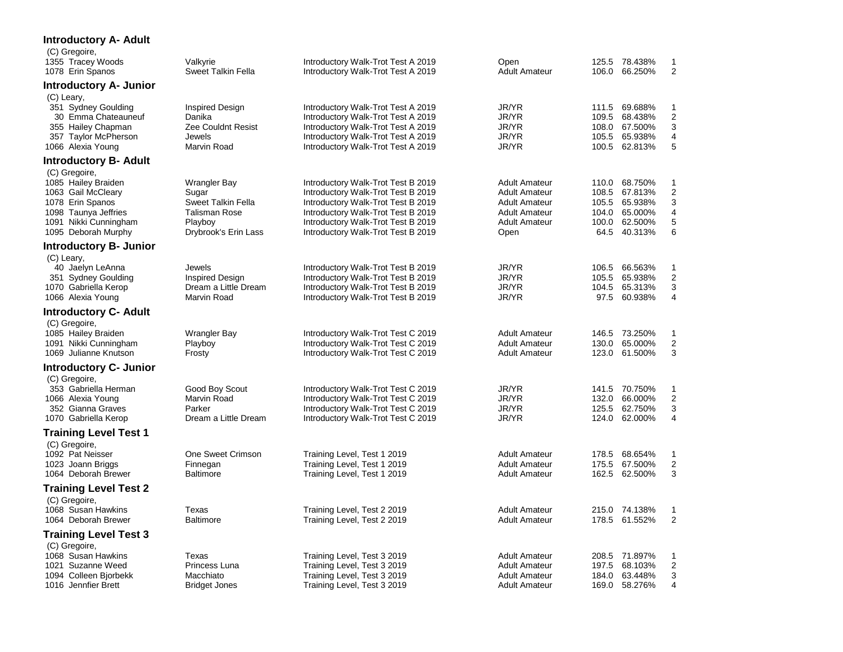| <b>Introductory A- Adult</b>                                                                                                                           |                                                                                                               |                                                                                                                                                                                                                                  |                                                                                                                              |                                                                                                         |                                                    |
|--------------------------------------------------------------------------------------------------------------------------------------------------------|---------------------------------------------------------------------------------------------------------------|----------------------------------------------------------------------------------------------------------------------------------------------------------------------------------------------------------------------------------|------------------------------------------------------------------------------------------------------------------------------|---------------------------------------------------------------------------------------------------------|----------------------------------------------------|
| (C) Gregoire,<br>1355 Tracey Woods<br>1078 Erin Spanos                                                                                                 | Valkyrie<br><b>Sweet Talkin Fella</b>                                                                         | Introductory Walk-Trot Test A 2019<br>Introductory Walk-Trot Test A 2019                                                                                                                                                         | Open<br><b>Adult Amateur</b>                                                                                                 | 125.5 78.438%<br>106.0 66.250%                                                                          | $\mathbf{1}$<br>$\overline{2}$                     |
| Introductory A- Junior                                                                                                                                 |                                                                                                               |                                                                                                                                                                                                                                  |                                                                                                                              |                                                                                                         |                                                    |
| (C) Leary,<br>351 Sydney Goulding<br>30 Emma Chateauneuf<br>355 Hailey Chapman<br>357 Taylor McPherson<br>1066 Alexia Young                            | <b>Inspired Design</b><br>Danika<br><b>Zee Couldnt Resist</b><br>Jewels<br>Marvin Road                        | Introductory Walk-Trot Test A 2019<br>Introductory Walk-Trot Test A 2019<br>Introductory Walk-Trot Test A 2019<br>Introductory Walk-Trot Test A 2019<br>Introductory Walk-Trot Test A 2019                                       | JR/YR<br>JR/YR<br>JR/YR<br>JR/YR<br>JR/YR                                                                                    | 111.5 69.688%<br>109.5<br>68.438%<br>108.0 67.500%<br>105.5 65.938%<br>100.5 62.813%                    | $\mathbf{1}$<br>$\overline{2}$<br>3<br>4<br>5      |
| <b>Introductory B- Adult</b>                                                                                                                           |                                                                                                               |                                                                                                                                                                                                                                  |                                                                                                                              |                                                                                                         |                                                    |
| (C) Gregoire,<br>1085 Hailey Braiden<br>1063 Gail McCleary<br>1078 Erin Spanos<br>1098 Taunya Jeffries<br>1091 Nikki Cunningham<br>1095 Deborah Murphy | Wrangler Bay<br>Sugar<br><b>Sweet Talkin Fella</b><br><b>Talisman Rose</b><br>Playboy<br>Drybrook's Erin Lass | Introductory Walk-Trot Test B 2019<br>Introductory Walk-Trot Test B 2019<br>Introductory Walk-Trot Test B 2019<br>Introductory Walk-Trot Test B 2019<br>Introductory Walk-Trot Test B 2019<br>Introductory Walk-Trot Test B 2019 | <b>Adult Amateur</b><br><b>Adult Amateur</b><br><b>Adult Amateur</b><br><b>Adult Amateur</b><br><b>Adult Amateur</b><br>Open | 110.0 68.750%<br>108.5<br>67.813%<br>65.938%<br>105.5<br>104.0 65.000%<br>100.0 62.500%<br>64.5 40.313% | $\mathbf{1}$<br>$\overline{2}$<br>3<br>4<br>5<br>6 |
| <b>Introductory B- Junior</b>                                                                                                                          |                                                                                                               |                                                                                                                                                                                                                                  |                                                                                                                              |                                                                                                         |                                                    |
| (C) Leary,<br>40 Jaelyn LeAnna<br>351 Sydney Goulding<br>1070 Gabriella Kerop<br>1066 Alexia Young                                                     | Jewels<br>Inspired Design<br>Dream a Little Dream<br>Marvin Road                                              | Introductory Walk-Trot Test B 2019<br>Introductory Walk-Trot Test B 2019<br>Introductory Walk-Trot Test B 2019<br>Introductory Walk-Trot Test B 2019                                                                             | JR/YR<br>JR/YR<br>JR/YR<br>JR/YR                                                                                             | 66.563%<br>106.5<br>105.5<br>65.938%<br>104.5<br>65.313%<br>97.5 60.938%                                | $\mathbf{1}$<br>$\overline{2}$<br>3<br>4           |
| <b>Introductory C- Adult</b>                                                                                                                           |                                                                                                               |                                                                                                                                                                                                                                  |                                                                                                                              |                                                                                                         |                                                    |
| (C) Gregoire,<br>1085 Hailey Braiden<br>1091 Nikki Cunningham<br>1069 Julianne Knutson                                                                 | <b>Wrangler Bay</b><br>Playboy<br>Frosty                                                                      | Introductory Walk-Trot Test C 2019<br>Introductory Walk-Trot Test C 2019<br>Introductory Walk-Trot Test C 2019                                                                                                                   | <b>Adult Amateur</b><br><b>Adult Amateur</b><br><b>Adult Amateur</b>                                                         | 146.5 73.250%<br>130.0<br>65.000%<br>123.0 61.500%                                                      | $\mathbf{1}$<br>2<br>3                             |
| <b>Introductory C- Junior</b>                                                                                                                          |                                                                                                               |                                                                                                                                                                                                                                  |                                                                                                                              |                                                                                                         |                                                    |
| (C) Gregoire,<br>353 Gabriella Herman<br>1066 Alexia Young<br>352 Gianna Graves<br>1070 Gabriella Kerop                                                | Good Boy Scout<br>Marvin Road<br>Parker<br>Dream a Little Dream                                               | Introductory Walk-Trot Test C 2019<br>Introductory Walk-Trot Test C 2019<br>Introductory Walk-Trot Test C 2019<br>Introductory Walk-Trot Test C 2019                                                                             | JR/YR<br>JR/YR<br>JR/YR<br>JR/YR                                                                                             | 141.5 70.750%<br>132.0 66.000%<br>125.5 62.750%<br>124.0 62.000%                                        | $\mathbf{1}$<br>$\overline{2}$<br>3<br>4           |
| <b>Training Level Test 1</b>                                                                                                                           |                                                                                                               |                                                                                                                                                                                                                                  |                                                                                                                              |                                                                                                         |                                                    |
| (C) Gregoire,<br>1092 Pat Neisser<br>1023 Joann Briggs<br>1064 Deborah Brewer                                                                          | One Sweet Crimson<br>Finnegan<br><b>Baltimore</b>                                                             | Training Level, Test 1 2019<br>Training Level, Test 1 2019<br>Training Level, Test 1 2019                                                                                                                                        | <b>Adult Amateur</b><br><b>Adult Amateur</b><br><b>Adult Amateur</b>                                                         | 178.5 68.654%<br>175.5 67.500%<br>162.5<br>62.500%                                                      | $\mathbf{1}$<br>$\boldsymbol{2}$<br>3              |
| Training Level Test 2                                                                                                                                  |                                                                                                               |                                                                                                                                                                                                                                  |                                                                                                                              |                                                                                                         |                                                    |
| (C) Gregoire,<br>1068 Susan Hawkins<br>1064 Deborah Brewer                                                                                             | Texas<br><b>Baltimore</b>                                                                                     | Training Level, Test 2 2019<br>Training Level, Test 2 2019                                                                                                                                                                       | <b>Adult Amateur</b><br><b>Adult Amateur</b>                                                                                 | 215.0 74.138%<br>178.5 61.552%                                                                          | $\mathbf{1}$<br>$\overline{2}$                     |
| <b>Training Level Test 3</b>                                                                                                                           |                                                                                                               |                                                                                                                                                                                                                                  |                                                                                                                              |                                                                                                         |                                                    |
| (C) Gregoire,<br>1068 Susan Hawkins<br>1021 Suzanne Weed<br>1094 Colleen Bjorbekk<br>1016 Jennfier Brett                                               | Texas<br>Princess Luna<br>Macchiato<br><b>Bridget Jones</b>                                                   | Training Level, Test 3 2019<br>Training Level, Test 3 2019<br>Training Level, Test 3 2019<br>Training Level, Test 3 2019                                                                                                         | <b>Adult Amateur</b><br><b>Adult Amateur</b><br><b>Adult Amateur</b><br><b>Adult Amateur</b>                                 | 208.5 71.897%<br>197.5 68.103%<br>184.0 63.448%<br>169.0 58.276%                                        | $\mathbf{1}$<br>$\overline{2}$<br>3<br>4           |